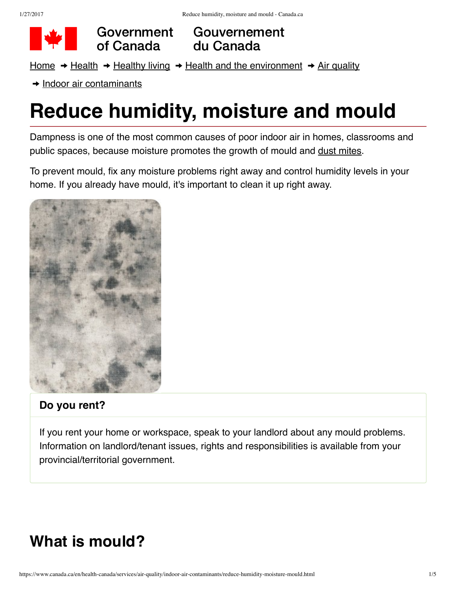

Government of Canada

Gouvernement du Canada

[Home](https://www.canada.ca/en.html)  $\rightarrow$  [Health](https://www.canada.ca/en/services/health.html)  $\rightarrow$  [Healthy](https://www.canada.ca/en/services/health/healthy-living.html) living  $\rightarrow$  Health and the [environment](https://www.canada.ca/en/health-canada/topics/health-environment.html)  $\rightarrow$  Air [quality](https://www.canada.ca/en/health-canada/services/air-quality.html)

 $\rightarrow$  Indoor air [contaminants](https://www.canada.ca/en/health-canada/services/air-quality/indoor-air-contaminants.html)

# **Reduce humidity, moisture and mould**

Dampness is one of the most common causes of poor indoor air in homes, classrooms and public spaces, because moisture promotes the growth of mould and dust [mites.](http://www.hc-sc.gc.ca/fniah-spnia/promotion/public-publique/home-maison/fn-pn/air-eng.php#dust)

To prevent mould, fix any moisture problems right away and control humidity levels in your home. If you already have mould, it's important to clean it up right away.



#### **Do you rent?**

If you rent your home or workspace, speak to your landlord about any mould problems. Information on landlord/tenant issues, rights and responsibilities is available from your provincial/territorial government.

### **What is mould?**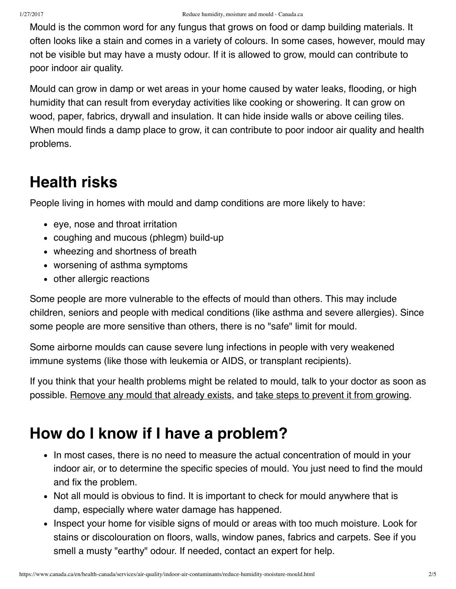Mould is the common word for any fungus that grows on food or damp building materials. It often looks like a stain and comes in a variety of colours. In some cases, however, mould may not be visible but may have a musty odour. If it is allowed to grow, mould can contribute to poor indoor air quality.

Mould can grow in damp or wet areas in your home caused by water leaks, flooding, or high humidity that can result from everyday activities like cooking or showering. It can grow on wood, paper, fabrics, drywall and insulation. It can hide inside walls or above ceiling tiles. When mould finds a damp place to grow, it can contribute to poor indoor air quality and health problems.

### **Health risks**

People living in homes with mould and damp conditions are more likely to have:

- eye, nose and throat irritation
- coughing and mucous (phlegm) build-up
- wheezing and shortness of breath
- worsening of asthma symptoms
- other allergic reactions

Some people are more vulnerable to the effects of mould than others. This may include children, seniors and people with medical conditions (like asthma and severe allergies). Since some people are more sensitive than others, there is no "safe" limit for mould.

Some airborne moulds can cause severe lung infections in people with very weakened immune systems (like those with leukemia or AIDS, or transplant recipients).

If you think that your health problems might be related to mould, talk to your doctor as soon as possible. [Remove](#page-2-0) any mould that already exists, and take steps to prevent it from [growing.](#page-2-1)

## **How do I know if I have a problem?**

- In most cases, there is no need to measure the actual concentration of mould in your indoor air, or to determine the specific species of mould. You just need to find the mould and fix the problem.
- Not all mould is obvious to find. It is important to check for mould anywhere that is damp, especially where water damage has happened.
- Inspect your home for visible signs of mould or areas with too much moisture. Look for stains or discolouration on floors, walls, window panes, fabrics and carpets. See if you smell a musty "earthy" odour. If needed, contact an expert for help.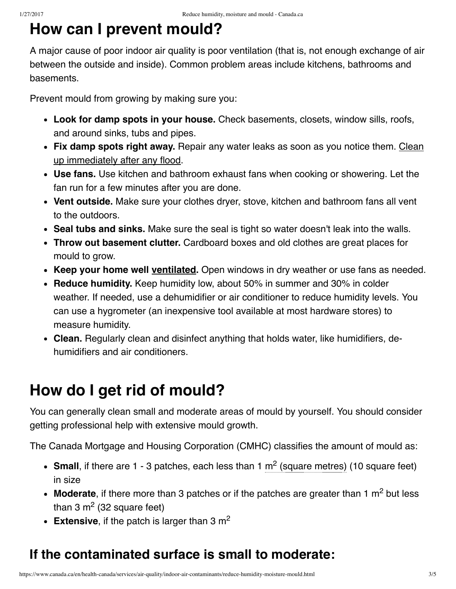#### <span id="page-2-1"></span>**How can I prevent mould?**

A major cause of poor indoor air quality is poor ventilation (that is, not enough exchange of air between the outside and inside). Common problem areas include kitchens, bathrooms and basements.

Prevent mould from growing by making sure you:

- **Look for damp spots in your house.** Check basements, closets, window sills, roofs, and around sinks, tubs and pipes.
- **Fix damp spots right away.** Repair any water leaks as soon as you notice them. Clean up [immediately](https://www.canada.ca/en/health-canada/services/publications/healthy-living/flood-cleanup-keep-mind-indoor-air-quality.html) after any flood.
- **Use fans.** Use kitchen and bathroom exhaust fans when cooking or showering. Let the fan run for a few minutes after you are done.
- **Vent outside.** Make sure your clothes dryer, stove, kitchen and bathroom fans all vent to the outdoors.
- **Seal tubs and sinks.** Make sure the seal is tight so water doesn't leak into the walls.
- **Throw out basement clutter.** Cardboard boxes and old clothes are great places for mould to grow.
- **Keep your home well [ventilated](https://www.canada.ca/en/health-canada/services/home-garden-safety/basics-protect-your-home-family.html#a1).** Open windows in dry weather or use fans as needed.
- **Reduce humidity.** Keep humidity low, about 50% in summer and 30% in colder weather. If needed, use a dehumidifier or air conditioner to reduce humidity levels. You can use a hygrometer (an inexpensive tool available at most hardware stores) to measure humidity.
- **Clean.** Regularly clean and disinfect anything that holds water, like humidifiers, dehumidifiers and air conditioners.

## <span id="page-2-0"></span>**How do I get rid of mould?**

You can generally clean small and moderate areas of mould by yourself. You should consider getting professional help with extensive mould growth.

The Canada Mortgage and Housing Corporation (CMHC) classifies the amount of mould as:

- **Small**, if there are 1 3 patches, each less than 1  $m<sup>2</sup>$  (square metres) (10 square feet) in size
- Moderate, if there more than 3 patches or if the patches are greater than 1 m<sup>2</sup> but less than 3 m<sup>2</sup> (32 square feet)
- **Extensive**, if the patch is larger than 3 m 2

#### **If the contaminated surface is small to moderate:**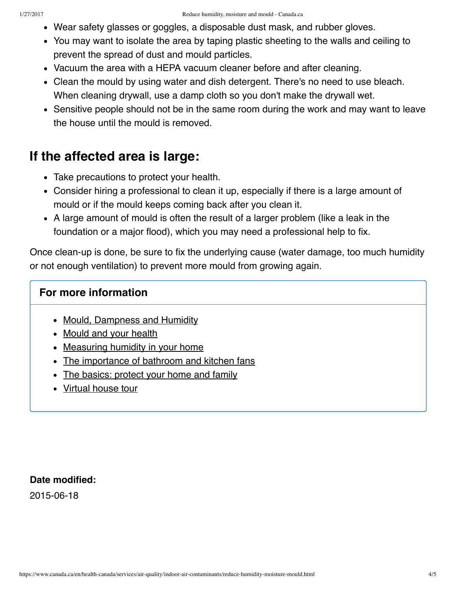- Wear safety glasses or goggles, a disposable dust mask, and rubber gloves.
- You may want to isolate the area by taping plastic sheeting to the walls and ceiling to prevent the spread of dust and mould particles.
- Vacuum the area with a HEPA vacuum cleaner before and after cleaning.
- Clean the mould by using water and dish detergent. There's no need to use bleach. When cleaning drywall, use a damp cloth so you don't make the drywall wet.
- Sensitive people should not be in the same room during the work and may want to leave the house until the mould is removed.

#### **If the affected area is large:**

- Take precautions to protect your health.
- Consider hiring a professional to clean it up, especially if there is a large amount of mould or if the mould keeps coming back after you clean it.
- A large amount of mould is often the result of a larger problem (like a leak in the foundation or a major flood), which you may need a professional help to fix.

Once clean-up is done, be sure to fix the underlying cause (water damage, too much humidity or not enough ventilation) to prevent more mould from growing again.

#### **For more information**

- Mould, [Dampness](http://www.hc-sc.gc.ca/ewh-semt/air/in/poll/mould-moisissure/index-eng.php) and Humidity
- [Mould](http://www.hc-sc.gc.ca/fniah-spnia/promotion/public-publique/home-maison/mould-moisissure-eng.php) and your health
- [Measuring](http://publications.gc.ca/collections/collection_2011/schl-cmhc/nh18-24/NH18-24-1-2009-eng.pdf) humidity in your home
- The [importance](http://publications.gc.ca/collections/Collection/NH18-24-17E.pdf) of bathroom and kitchen fans
- The [basics:](https://www.canada.ca/en/health-canada/services/home-garden-safety/basics-protect-your-home-family.html) protect your home and family
- [Virtual](http://www.healthycanadians.gc.ca/healthy-living-vie-saine/environment-environnement/home-maison/interactive-interactif-eng.php) house tour

#### **Date modified:**

2015-06-18